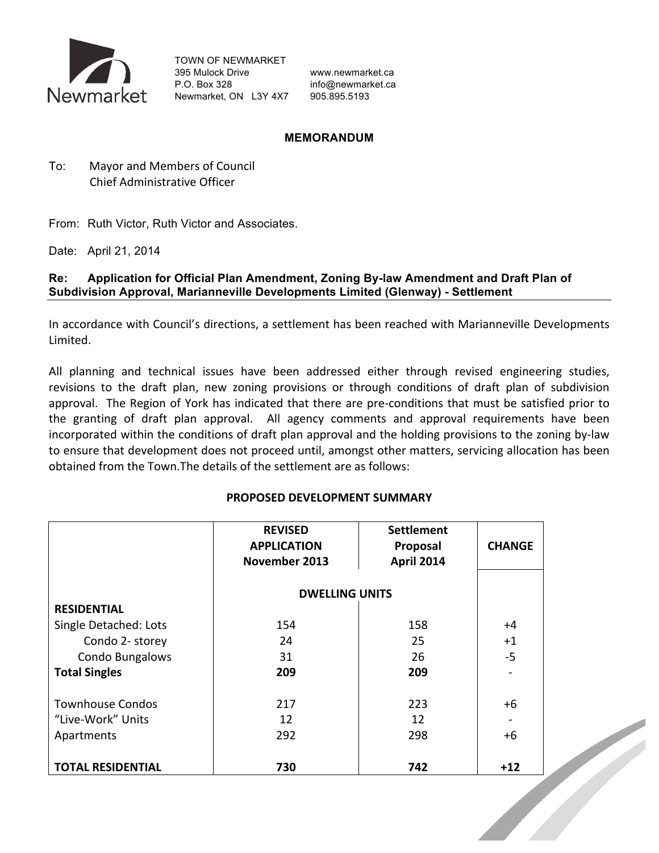

TOWN OF NEWMARKET 395 Mulock Drive www.newmarket.ca P.O. Box 328 info@newmarket.ca Newmarket, ON L3Y 4X7 905.895.5193

## **MEMORANDUM**

To: Mayor and Members of Council Chief Administrative Officer

From: Ruth Victor, Ruth Victor and Associates.

Date: April 21, 2014

## **Re: Application for Official Plan Amendment, Zoning By-law Amendment and Draft Plan of Subdivision Approval, Marianneville Developments Limited (Glenway) - Settlement**

In accordance with Council's directions, a settlement has been reached with Marianneville Developments Limited. 

All planning and technical issues have been addressed either through revised engineering studies, revisions to the draft plan, new zoning provisions or through conditions of draft plan of subdivision approval. The Region of York has indicated that there are pre-conditions that must be satisfied prior to the granting of draft plan approval. All agency comments and approval requirements have been incorporated within the conditions of draft plan approval and the holding provisions to the zoning by-law to ensure that development does not proceed until, amongst other matters, servicing allocation has been obtained from the Town. The details of the settlement are as follows:

## **PROPOSED DEVELOPMENT SUMMARY**

|                          | <b>REVISED</b><br><b>APPLICATION</b><br>November 2013 | <b>Settlement</b><br>Proposal<br><b>April 2014</b> | <b>CHANGE</b> |
|--------------------------|-------------------------------------------------------|----------------------------------------------------|---------------|
|                          | <b>DWELLING UNITS</b>                                 |                                                    |               |
| <b>RESIDENTIAL</b>       |                                                       |                                                    |               |
| Single Detached: Lots    | 154                                                   | 158                                                | +4            |
| Condo 2- storey          | 24                                                    | 25                                                 | $+1$          |
| Condo Bungalows          | 31                                                    | 26                                                 | $-5$          |
| <b>Total Singles</b>     | 209                                                   | 209                                                |               |
| <b>Townhouse Condos</b>  | 217                                                   | 223                                                | +6            |
| "Live-Work" Units        | 12                                                    | 12                                                 |               |
| Apartments               | 292                                                   | 298                                                | $+6$          |
| <b>TOTAL RESIDENTIAL</b> | 730                                                   | 742                                                | $+12$         |